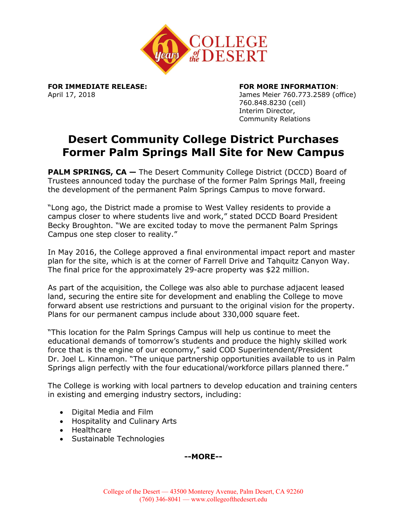

**FOR IMMEDIATE RELEASE: FOR MORE INFORMATION**:

April 17, 2018 James Meier 760.773.2589 (office) 760.848.8230 (cell) Interim Director, Community Relations

## **Desert Community College District Purchases Former Palm Springs Mall Site for New Campus**

**PALM SPRINGS, CA - The Desert Community College District (DCCD) Board of** Trustees announced today the purchase of the former Palm Springs Mall, freeing the development of the permanent Palm Springs Campus to move forward.

"Long ago, the District made a promise to West Valley residents to provide a campus closer to where students live and work," stated DCCD Board President Becky Broughton. "We are excited today to move the permanent Palm Springs Campus one step closer to reality."

In May 2016, the College approved a final environmental impact report and master plan for the site, which is at the corner of Farrell Drive and Tahquitz Canyon Way. The final price for the approximately 29-acre property was \$22 million.

As part of the acquisition, the College was also able to purchase adjacent leased land, securing the entire site for development and enabling the College to move forward absent use restrictions and pursuant to the original vision for the property. Plans for our permanent campus include about 330,000 square feet.

"This location for the Palm Springs Campus will help us continue to meet the educational demands of tomorrow's students and produce the highly skilled work force that is the engine of our economy," said COD Superintendent/President Dr. Joel L. Kinnamon. "The unique partnership opportunities available to us in Palm Springs align perfectly with the four educational/workforce pillars planned there."

The College is working with local partners to develop education and training centers in existing and emerging industry sectors, including:

- Digital Media and Film
- Hospitality and Culinary Arts
- Healthcare
- Sustainable Technologies

**--MORE--**